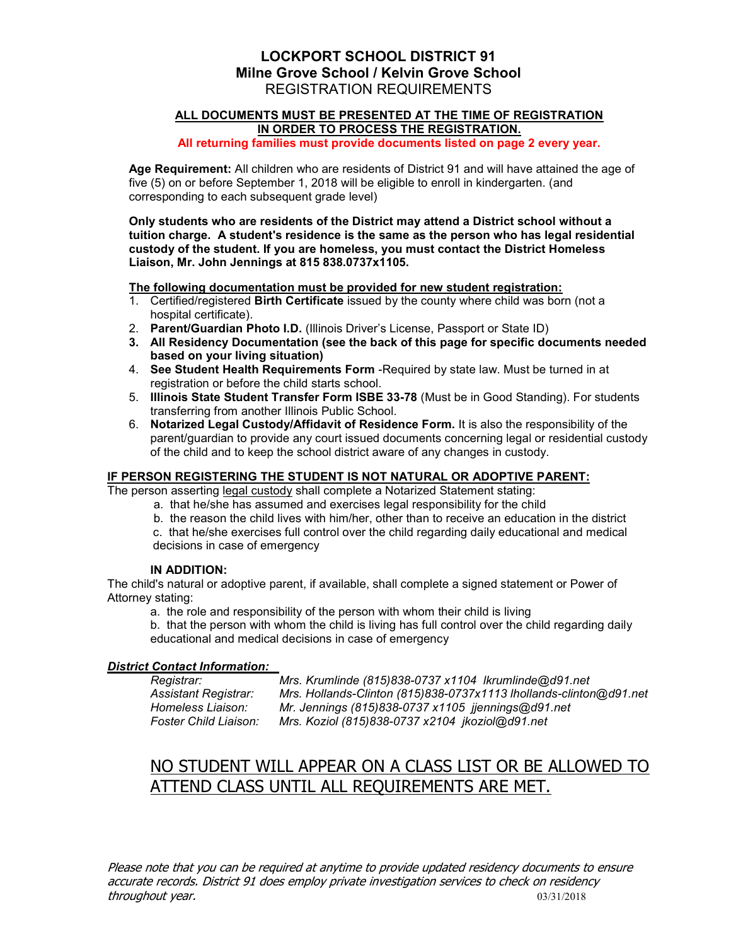# LOCKPORT SCHOOL DISTRICT 91 Milne Grove School / Kelvin Grove School REGISTRATION REQUIREMENTS

# ALL DOCUMENTS MUST BE PRESENTED AT THE TIME OF REGISTRATION IN ORDER TO PROCESS THE REGISTRATION.

All returning families must provide documents listed on page 2 every year.

Age Requirement: All children who are residents of District 91 and will have attained the age of five (5) on or before September 1, 2018 will be eligible to enroll in kindergarten. (and corresponding to each subsequent grade level)

Only students who are residents of the District may attend a District school without a tuition charge. A student's residence is the same as the person who has legal residential custody of the student. If you are homeless, you must contact the District Homeless Liaison, Mr. John Jennings at 815 838.0737x1105.

The following documentation must be provided for new student registration:

- 1. Certified/registered Birth Certificate issued by the county where child was born (not a hospital certificate).
- 2. Parent/Guardian Photo I.D. (Illinois Driver's License, Passport or State ID)
- 3. All Residency Documentation (see the back of this page for specific documents needed based on your living situation)
- 4. See Student Health Requirements Form Required by state law. Must be turned in at registration or before the child starts school.
- 5. Illinois State Student Transfer Form ISBE 33-78 (Must be in Good Standing). For students transferring from another Illinois Public School.
- 6. Notarized Legal Custody/Affidavit of Residence Form. It is also the responsibility of the parent/guardian to provide any court issued documents concerning legal or residential custody of the child and to keep the school district aware of any changes in custody.

# IF PERSON REGISTERING THE STUDENT IS NOT NATURAL OR ADOPTIVE PARENT:

The person asserting legal custody shall complete a Notarized Statement stating:

- a. that he/she has assumed and exercises legal responsibility for the child
- b. the reason the child lives with him/her, other than to receive an education in the district

c. that he/she exercises full control over the child regarding daily educational and medical decisions in case of emergency

# IN ADDITION:

The child's natural or adoptive parent, if available, shall complete a signed statement or Power of Attorney stating:

a. the role and responsibility of the person with whom their child is living

b. that the person with whom the child is living has full control over the child regarding daily educational and medical decisions in case of emergency

# District Contact Information:

Registrar: Mrs. Krumlinde (815)838-0737 x1104 lkrumlinde@d91.net Assistant Registrar: Mrs. Hollands-Clinton (815)838-0737x1113 lhollands-clinton@d91.net Homeless Liaison: Mr. Jennings (815)838-0737 x1105 jjennings@d91.net Foster Child Liaison: Mrs. Koziol (815)838-0737 x2104 jkoziol@d91.net

# NO STUDENT WILL APPEAR ON A CLASS LIST OR BE ALLOWED TO ATTEND CLASS UNTIL ALL REQUIREMENTS ARE MET.

Please note that you can be required at anytime to provide updated residency documents to ensure accurate records. District 91 does employ private investigation services to check on residency throughout year. 03/31/2018